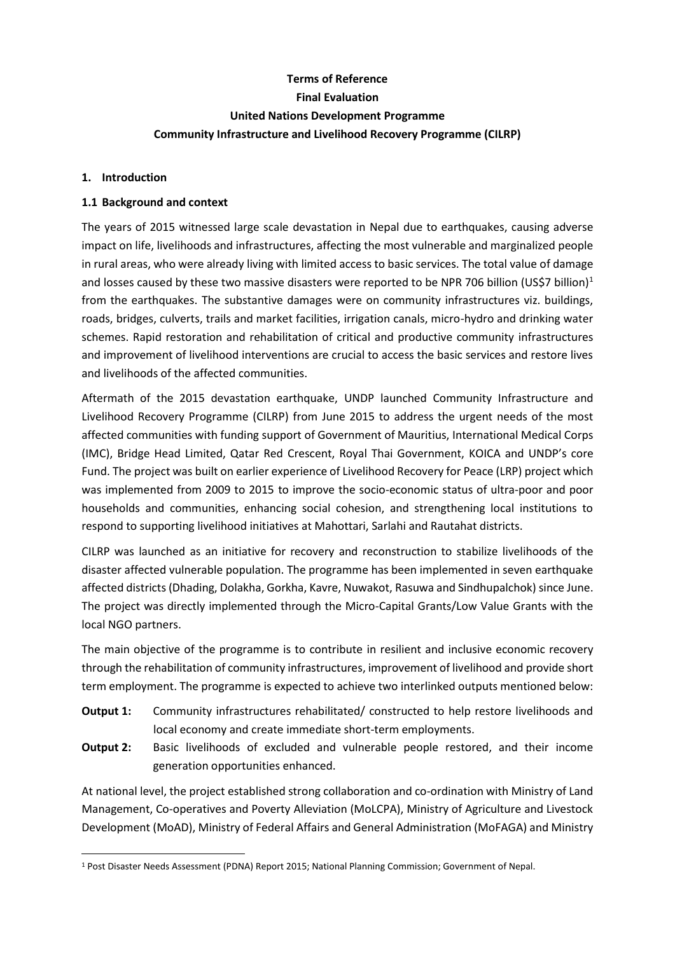# **Terms of Reference Final Evaluation United Nations Development Programme Community Infrastructure and Livelihood Recovery Programme (CILRP)**

#### **1. Introduction**

#### **1.1 Background and context**

The years of 2015 witnessed large scale devastation in Nepal due to earthquakes, causing adverse impact on life, livelihoods and infrastructures, affecting the most vulnerable and marginalized people in rural areas, who were already living with limited access to basic services. The total value of damage and losses caused by these two massive disasters were reported to be NPR 706 billion (US\$7 billion)<sup>1</sup> from the earthquakes. The substantive damages were on community infrastructures viz. buildings, roads, bridges, culverts, trails and market facilities, irrigation canals, micro-hydro and drinking water schemes. Rapid restoration and rehabilitation of critical and productive community infrastructures and improvement of livelihood interventions are crucial to access the basic services and restore lives and livelihoods of the affected communities.

Aftermath of the 2015 devastation earthquake, UNDP launched Community Infrastructure and Livelihood Recovery Programme (CILRP) from June 2015 to address the urgent needs of the most affected communities with funding support of Government of Mauritius, International Medical Corps (IMC), Bridge Head Limited, Qatar Red Crescent, Royal Thai Government, KOICA and UNDP's core Fund. The project was built on earlier experience of Livelihood Recovery for Peace (LRP) project which was implemented from 2009 to 2015 to improve the socio-economic status of ultra-poor and poor households and communities, enhancing social cohesion, and strengthening local institutions to respond to supporting livelihood initiatives at Mahottari, Sarlahi and Rautahat districts.

CILRP was launched as an initiative for recovery and reconstruction to stabilize livelihoods of the disaster affected vulnerable population. The programme has been implemented in seven earthquake affected districts (Dhading, Dolakha, Gorkha, Kavre, Nuwakot, Rasuwa and Sindhupalchok) since June. The project was directly implemented through the Micro-Capital Grants/Low Value Grants with the local NGO partners.

The main objective of the programme is to contribute in resilient and inclusive economic recovery through the rehabilitation of community infrastructures, improvement of livelihood and provide short term employment. The programme is expected to achieve two interlinked outputs mentioned below:

- **Output 1:** Community infrastructures rehabilitated/ constructed to help restore livelihoods and local economy and create immediate short-term employments.
- **Output 2:** Basic livelihoods of excluded and vulnerable people restored, and their income generation opportunities enhanced.

At national level, the project established strong collaboration and co-ordination with Ministry of Land Management, Co-operatives and Poverty Alleviation (MoLCPA), Ministry of Agriculture and Livestock Development (MoAD), Ministry of Federal Affairs and General Administration (MoFAGA) and Ministry

<sup>1</sup> Post Disaster Needs Assessment (PDNA) Report 2015; National Planning Commission; Government of Nepal.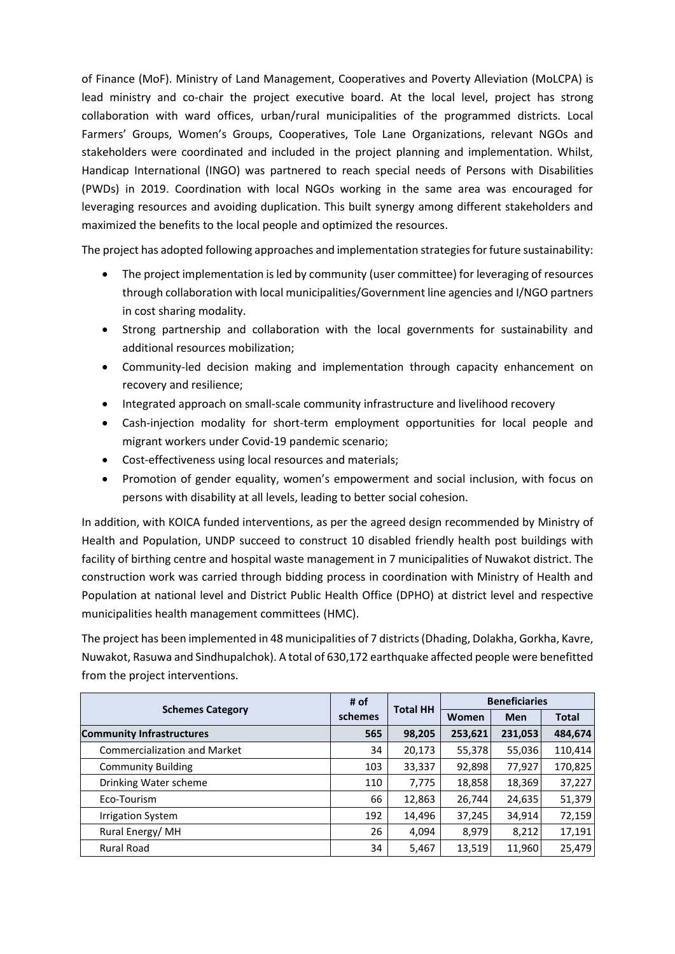of Finance (MoF). Ministry of Land Management, Cooperatives and Poverty Alleviation (MoLCPA) is lead ministry and co-chair the project executive board. At the local level, project has strong collaboration with ward offices, urban/rural municipalities of the programmed districts. Local Farmers' Groups, Women's Groups, Cooperatives, Tole Lane Organizations, relevant NGOs and stakeholders were coordinated and included in the project planning and implementation. Whilst, Handicap International (INGO) was partnered to reach special needs of Persons with Disabilities (PWDs) in 2019. Coordination with local NGOs working in the same area was encouraged for leveraging resources and avoiding duplication. This built synergy among different stakeholders and maximized the benefits to the local people and optimized the resources.

The project has adopted following approaches and implementation strategies for future sustainability:

- The project implementation is led by community (user committee) for leveraging of resources through collaboration with local municipalities/Government line agencies and I/NGO partners in cost sharing modality.
- Strong partnership and collaboration with the local governments for sustainability and additional resources mobilization;
- Community-led decision making and implementation through capacity enhancement on recovery and resilience;
- Integrated approach on small-scale community infrastructure and livelihood recovery
- Cash-injection modality for short-term employment opportunities for local people and migrant workers under Covid-19 pandemic scenario;
- Cost-effectiveness using local resources and materials;
- Promotion of gender equality, women's empowerment and social inclusion, with focus on persons with disability at all levels, leading to better social cohesion.

In addition, with KOICA funded interventions, as per the agreed design recommended by Ministry of Health and Population, UNDP succeed to construct 10 disabled friendly health post buildings with facility of birthing centre and hospital waste management in 7 municipalities of Nuwakot district. The construction work was carried through bidding process in coordination with Ministry of Health and Population at national level and District Public Health Office (DPHO) at district level and respective municipalities health management committees (HMC).

The project has been implemented in 48 municipalities of 7 districts (Dhading, Dolakha, Gorkha, Kavre, Nuwakot, Rasuwa and Sindhupalchok). A total of 630,172 earthquake affected people were benefitted from the project interventions.

| <b>Schemes Category</b>             | # of    | <b>Total HH</b> | <b>Beneficiaries</b> |            |              |
|-------------------------------------|---------|-----------------|----------------------|------------|--------------|
|                                     | schemes |                 | Women                | <b>Men</b> | <b>Total</b> |
| <b>Community Infrastructures</b>    | 565     | 98,205          | 253,621              | 231,053    | 484,674      |
| <b>Commercialization and Market</b> | 34      | 20,173          | 55,378               | 55,036     | 110,414      |
| <b>Community Building</b>           | 103     | 33,337          | 92,898               | 77,927     | 170,825      |
| Drinking Water scheme               | 110     | 7,775           | 18,858               | 18,369     | 37,227       |
| Eco-Tourism                         | 66      | 12,863          | 26,744               | 24,635     | 51,379       |
| <b>Irrigation System</b>            | 192     | 14,496          | 37,245               | 34,914     | 72,159       |
| Rural Energy/MH                     | 26      | 4,094           | 8,979                | 8,212      | 17,191       |
| <b>Rural Road</b>                   | 34      | 5,467           | 13,519               | 11,960     | 25,479       |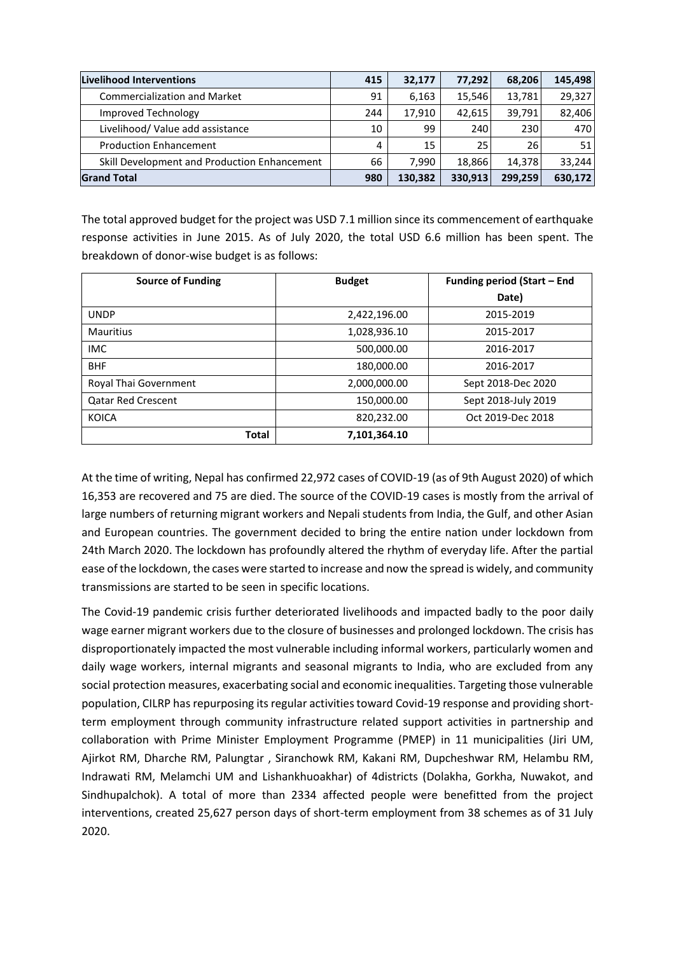| Livelihood Interventions                     | 415 | 32,177  | 77,292  | 68,206  | 145,498 |
|----------------------------------------------|-----|---------|---------|---------|---------|
| <b>Commercialization and Market</b>          | 91  | 6,163   | 15,546  | 13,781  | 29,327  |
| Improved Technology                          | 244 | 17,910  | 42,615  | 39,791  | 82,406  |
| Livelihood/ Value add assistance             | 10  | 99      | 240     | 230     | 470     |
| <b>Production Enhancement</b>                | 4   | 15      | 25      | 26      | 51      |
| Skill Development and Production Enhancement | 66  | 7.990   | 18,866  | 14.378  | 33,244  |
| <b>Grand Total</b>                           | 980 | 130,382 | 330,913 | 299,259 | 630,172 |

The total approved budget for the project was USD 7.1 million since its commencement of earthquake response activities in June 2015. As of July 2020, the total USD 6.6 million has been spent. The breakdown of donor-wise budget is as follows:

| <b>Source of Funding</b>  | <b>Budget</b> | Funding period (Start - End |
|---------------------------|---------------|-----------------------------|
|                           |               | Date)                       |
| <b>UNDP</b>               | 2,422,196.00  | 2015-2019                   |
| <b>Mauritius</b>          | 1,028,936.10  | 2015-2017                   |
| <b>IMC</b>                | 500,000.00    | 2016-2017                   |
| <b>BHF</b>                | 180,000.00    | 2016-2017                   |
| Royal Thai Government     | 2,000,000.00  | Sept 2018-Dec 2020          |
| <b>Qatar Red Crescent</b> | 150,000.00    | Sept 2018-July 2019         |
| <b>KOICA</b>              | 820,232.00    | Oct 2019-Dec 2018           |
| <b>Total</b>              | 7,101,364.10  |                             |

At the time of writing, Nepal has confirmed 22,972 cases of COVID-19 (as of 9th August 2020) of which 16,353 are recovered and 75 are died. The source of the COVID-19 cases is mostly from the arrival of large numbers of returning migrant workers and Nepali students from India, the Gulf, and other Asian and European countries. The government decided to bring the entire nation under lockdown from 24th March 2020. The lockdown has profoundly altered the rhythm of everyday life. After the partial ease of the lockdown, the cases were started to increase and now the spread is widely, and community transmissions are started to be seen in specific locations.

The Covid-19 pandemic crisis further deteriorated livelihoods and impacted badly to the poor daily wage earner migrant workers due to the closure of businesses and prolonged lockdown. The crisis has disproportionately impacted the most vulnerable including informal workers, particularly women and daily wage workers, internal migrants and seasonal migrants to India, who are excluded from any social protection measures, exacerbating social and economic inequalities. Targeting those vulnerable population, CILRP has repurposing its regular activities toward Covid-19 response and providing shortterm employment through community infrastructure related support activities in partnership and collaboration with Prime Minister Employment Programme (PMEP) in 11 municipalities (Jiri UM, Ajirkot RM, Dharche RM, Palungtar , Siranchowk RM, Kakani RM, Dupcheshwar RM, Helambu RM, Indrawati RM, Melamchi UM and Lishankhuoakhar) of 4districts (Dolakha, Gorkha, Nuwakot, and Sindhupalchok). A total of more than 2334 affected people were benefitted from the project interventions, created 25,627 person days of short-term employment from 38 schemes as of 31 July 2020.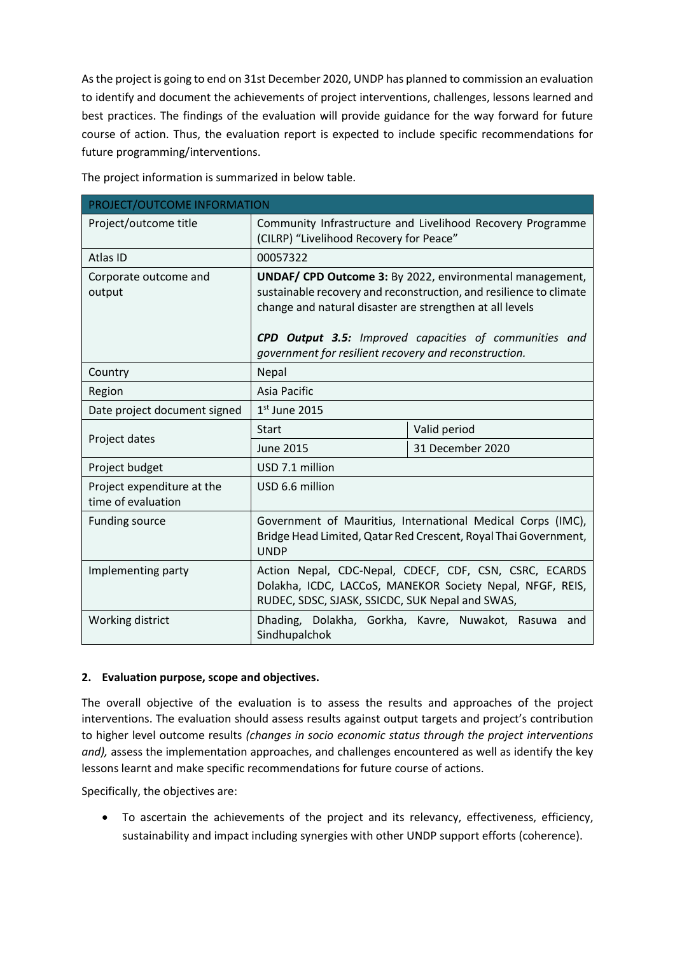As the project is going to end on 31st December 2020, UNDP has planned to commission an evaluation to identify and document the achievements of project interventions, challenges, lessons learned and best practices. The findings of the evaluation will provide guidance for the way forward for future course of action. Thus, the evaluation report is expected to include specific recommendations for future programming/interventions.

The project information is summarized in below table.

| PROJECT/OUTCOME INFORMATION                      |                                                                                                                                                                                                   |                  |  |  |
|--------------------------------------------------|---------------------------------------------------------------------------------------------------------------------------------------------------------------------------------------------------|------------------|--|--|
| Project/outcome title                            | Community Infrastructure and Livelihood Recovery Programme<br>(CILRP) "Livelihood Recovery for Peace"                                                                                             |                  |  |  |
| Atlas ID                                         | 00057322                                                                                                                                                                                          |                  |  |  |
| Corporate outcome and<br>output                  | <b>UNDAF/ CPD Outcome 3:</b> By 2022, environmental management,<br>sustainable recovery and reconstruction, and resilience to climate<br>change and natural disaster are strengthen at all levels |                  |  |  |
|                                                  | CPD Output 3.5: Improved capacities of communities and<br>government for resilient recovery and reconstruction.                                                                                   |                  |  |  |
| Country                                          | Nepal                                                                                                                                                                                             |                  |  |  |
| Region                                           | Asia Pacific                                                                                                                                                                                      |                  |  |  |
| Date project document signed                     | $1st$ June 2015                                                                                                                                                                                   |                  |  |  |
|                                                  | <b>Start</b>                                                                                                                                                                                      | Valid period     |  |  |
| Project dates                                    | <b>June 2015</b>                                                                                                                                                                                  | 31 December 2020 |  |  |
| Project budget                                   | USD 7.1 million                                                                                                                                                                                   |                  |  |  |
| Project expenditure at the<br>time of evaluation | USD 6.6 million                                                                                                                                                                                   |                  |  |  |
| <b>Funding source</b>                            | Government of Mauritius, International Medical Corps (IMC),<br>Bridge Head Limited, Qatar Red Crescent, Royal Thai Government,<br><b>UNDP</b>                                                     |                  |  |  |
| Implementing party                               | Action Nepal, CDC-Nepal, CDECF, CDF, CSN, CSRC, ECARDS<br>Dolakha, ICDC, LACCoS, MANEKOR Society Nepal, NFGF, REIS,<br>RUDEC, SDSC, SJASK, SSICDC, SUK Nepal and SWAS,                            |                  |  |  |
| Working district                                 | Dhading, Dolakha, Gorkha, Kavre, Nuwakot, Rasuwa<br>and<br>Sindhupalchok                                                                                                                          |                  |  |  |

# **2. Evaluation purpose, scope and objectives.**

The overall objective of the evaluation is to assess the results and approaches of the project interventions. The evaluation should assess results against output targets and project's contribution to higher level outcome results *(changes in socio economic status through the project interventions and),* assess the implementation approaches, and challenges encountered as well as identify the key lessons learnt and make specific recommendations for future course of actions.

Specifically, the objectives are:

• To ascertain the achievements of the project and its relevancy, effectiveness, efficiency, sustainability and impact including synergies with other UNDP support efforts (coherence).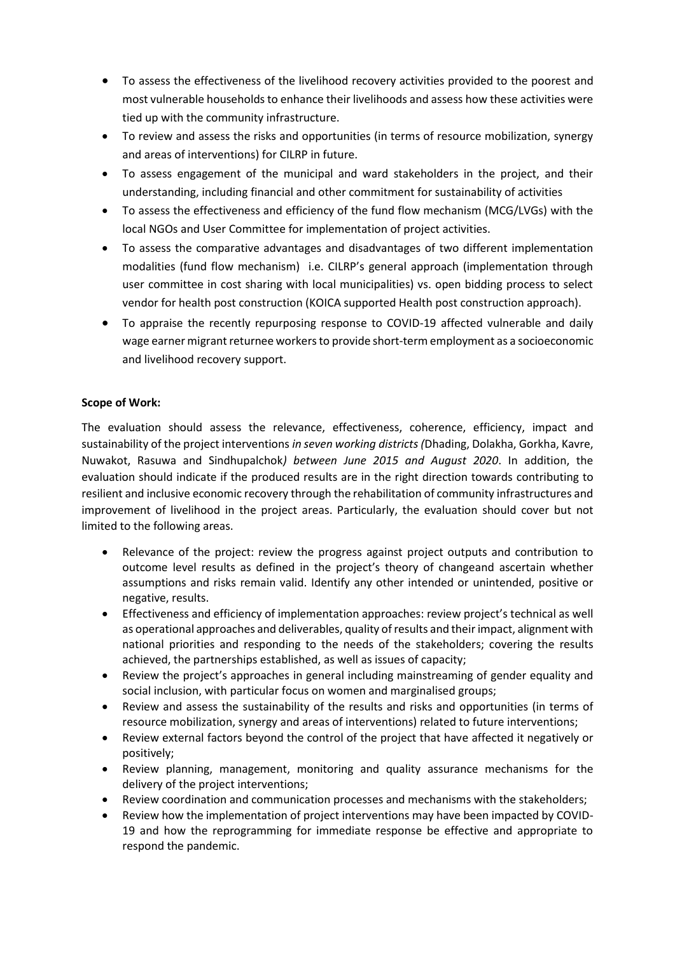- To assess the effectiveness of the livelihood recovery activities provided to the poorest and most vulnerable households to enhance their livelihoods and assess how these activities were tied up with the community infrastructure.
- To review and assess the risks and opportunities (in terms of resource mobilization, synergy and areas of interventions) for CILRP in future.
- To assess engagement of the municipal and ward stakeholders in the project, and their understanding, including financial and other commitment for sustainability of activities
- To assess the effectiveness and efficiency of the fund flow mechanism (MCG/LVGs) with the local NGOs and User Committee for implementation of project activities.
- To assess the comparative advantages and disadvantages of two different implementation modalities (fund flow mechanism) i.e. CILRP's general approach (implementation through user committee in cost sharing with local municipalities) vs. open bidding process to select vendor for health post construction (KOICA supported Health post construction approach).
- To appraise the recently repurposing response to COVID-19 affected vulnerable and daily wage earner migrant returnee workers to provide short-term employment as a socioeconomic and livelihood recovery support.

# **Scope of Work:**

The evaluation should assess the relevance, effectiveness, coherence, efficiency, impact and sustainability of the project interventions *in seven working districts (*Dhading, Dolakha, Gorkha, Kavre, Nuwakot, Rasuwa and Sindhupalchok*) between June 2015 and August 2020*. In addition, the evaluation should indicate if the produced results are in the right direction towards contributing to resilient and inclusive economic recovery through the rehabilitation of community infrastructures and improvement of livelihood in the project areas. Particularly, the evaluation should cover but not limited to the following areas.

- Relevance of the project: review the progress against project outputs and contribution to outcome level results as defined in the project's theory of changeand ascertain whether assumptions and risks remain valid. Identify any other intended or unintended, positive or negative, results.
- Effectiveness and efficiency of implementation approaches: review project's technical as well as operational approaches and deliverables, quality of results and their impact, alignment with national priorities and responding to the needs of the stakeholders; covering the results achieved, the partnerships established, as well as issues of capacity;
- Review the project's approaches in general including mainstreaming of gender equality and social inclusion, with particular focus on women and marginalised groups;
- Review and assess the sustainability of the results and risks and opportunities (in terms of resource mobilization, synergy and areas of interventions) related to future interventions;
- Review external factors beyond the control of the project that have affected it negatively or positively;
- Review planning, management, monitoring and quality assurance mechanisms for the delivery of the project interventions;
- Review coordination and communication processes and mechanisms with the stakeholders;
- Review how the implementation of project interventions may have been impacted by COVID-19 and how the reprogramming for immediate response be effective and appropriate to respond the pandemic.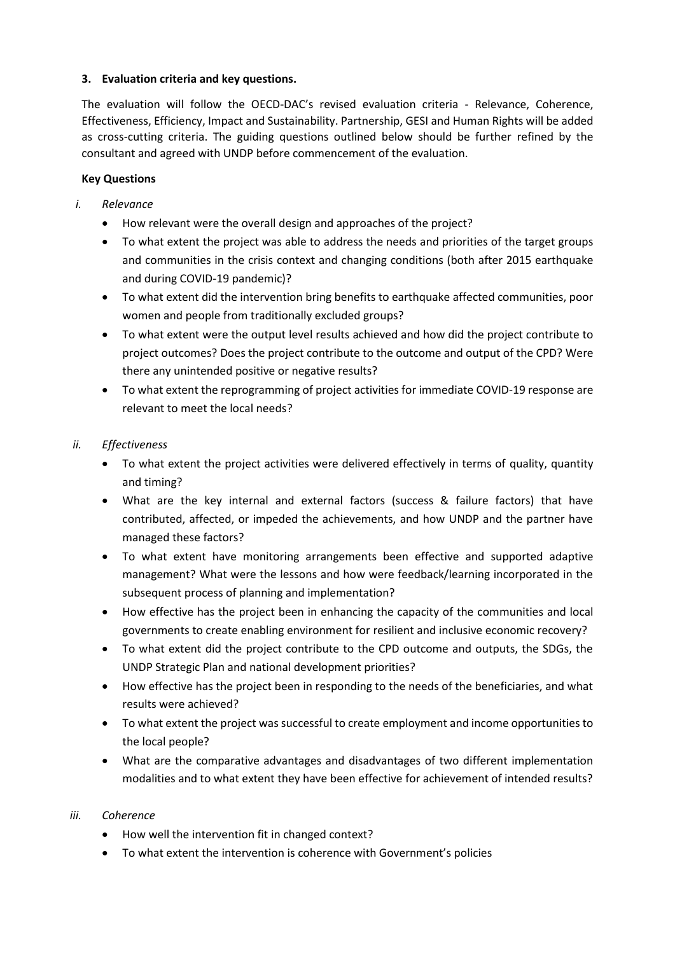# **3. Evaluation criteria and key questions.**

The evaluation will follow the OECD-DAC's revised evaluation criteria - Relevance, Coherence, Effectiveness, Efficiency, Impact and Sustainability. Partnership, GESI and Human Rights will be added as cross-cutting criteria. The guiding questions outlined below should be further refined by the consultant and agreed with UNDP before commencement of the evaluation.

# **Key Questions**

- *i. Relevance* 
	- How relevant were the overall design and approaches of the project?
	- To what extent the project was able to address the needs and priorities of the target groups and communities in the crisis context and changing conditions (both after 2015 earthquake and during COVID-19 pandemic)?
	- To what extent did the intervention bring benefits to earthquake affected communities, poor women and people from traditionally excluded groups?
	- To what extent were the output level results achieved and how did the project contribute to project outcomes? Does the project contribute to the outcome and output of the CPD? Were there any unintended positive or negative results?
	- To what extent the reprogramming of project activities for immediate COVID-19 response are relevant to meet the local needs?

# *ii. Effectiveness*

- To what extent the project activities were delivered effectively in terms of quality, quantity and timing?
- What are the key internal and external factors (success & failure factors) that have contributed, affected, or impeded the achievements, and how UNDP and the partner have managed these factors?
- To what extent have monitoring arrangements been effective and supported adaptive management? What were the lessons and how were feedback/learning incorporated in the subsequent process of planning and implementation?
- How effective has the project been in enhancing the capacity of the communities and local governments to create enabling environment for resilient and inclusive economic recovery?
- To what extent did the project contribute to the CPD outcome and outputs, the SDGs, the UNDP Strategic Plan and national development priorities?
- How effective has the project been in responding to the needs of the beneficiaries, and what results were achieved?
- To what extent the project was successful to create employment and income opportunities to the local people?
- What are the comparative advantages and disadvantages of two different implementation modalities and to what extent they have been effective for achievement of intended results?

# *iii. Coherence*

- How well the intervention fit in changed context?
- To what extent the intervention is coherence with Government's policies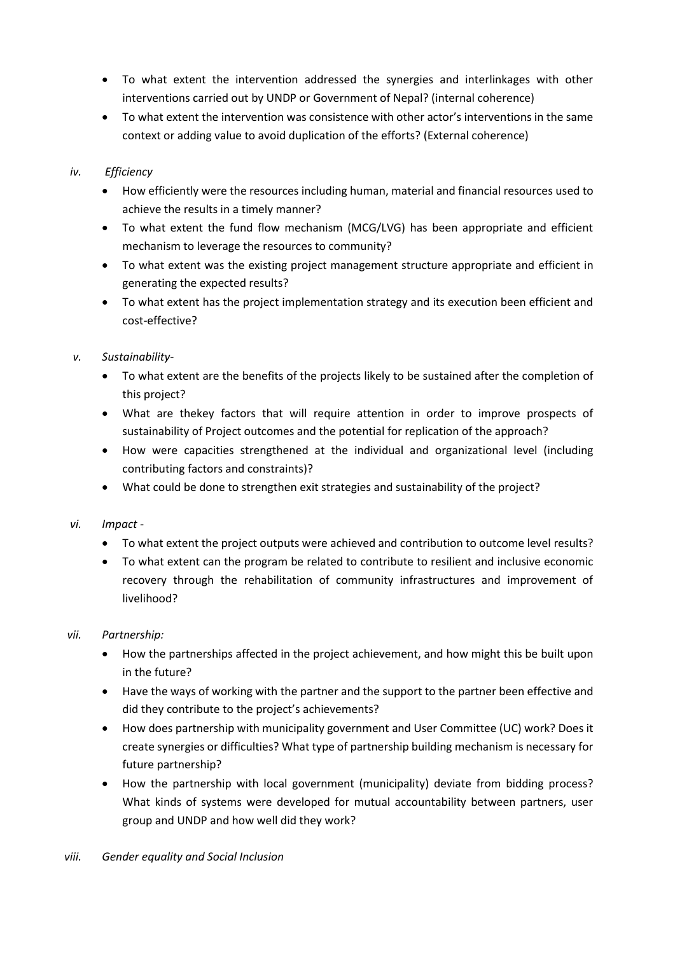- To what extent the intervention addressed the synergies and interlinkages with other interventions carried out by UNDP or Government of Nepal? (internal coherence)
- To what extent the intervention was consistence with other actor's interventions in the same context or adding value to avoid duplication of the efforts? (External coherence)

# *iv. Efficiency*

- How efficiently were the resources including human, material and financial resources used to achieve the results in a timely manner?
- To what extent the fund flow mechanism (MCG/LVG) has been appropriate and efficient mechanism to leverage the resources to community?
- To what extent was the existing project management structure appropriate and efficient in generating the expected results?
- To what extent has the project implementation strategy and its execution been efficient and cost-effective?
- *v. Sustainability-*
	- To what extent are the benefits of the projects likely to be sustained after the completion of this project?
	- What are thekey factors that will require attention in order to improve prospects of sustainability of Project outcomes and the potential for replication of the approach?
	- How were capacities strengthened at the individual and organizational level (including contributing factors and constraints)?
	- What could be done to strengthen exit strategies and sustainability of the project?
- *vi. Impact -*
	- To what extent the project outputs were achieved and contribution to outcome level results?
	- To what extent can the program be related to contribute to resilient and inclusive economic recovery through the rehabilitation of community infrastructures and improvement of livelihood?

# *vii. Partnership:*

- How the partnerships affected in the project achievement, and how might this be built upon in the future?
- Have the ways of working with the partner and the support to the partner been effective and did they contribute to the project's achievements?
- How does partnership with municipality government and User Committee (UC) work? Does it create synergies or difficulties? What type of partnership building mechanism is necessary for future partnership?
- How the partnership with local government (municipality) deviate from bidding process? What kinds of systems were developed for mutual accountability between partners, user group and UNDP and how well did they work?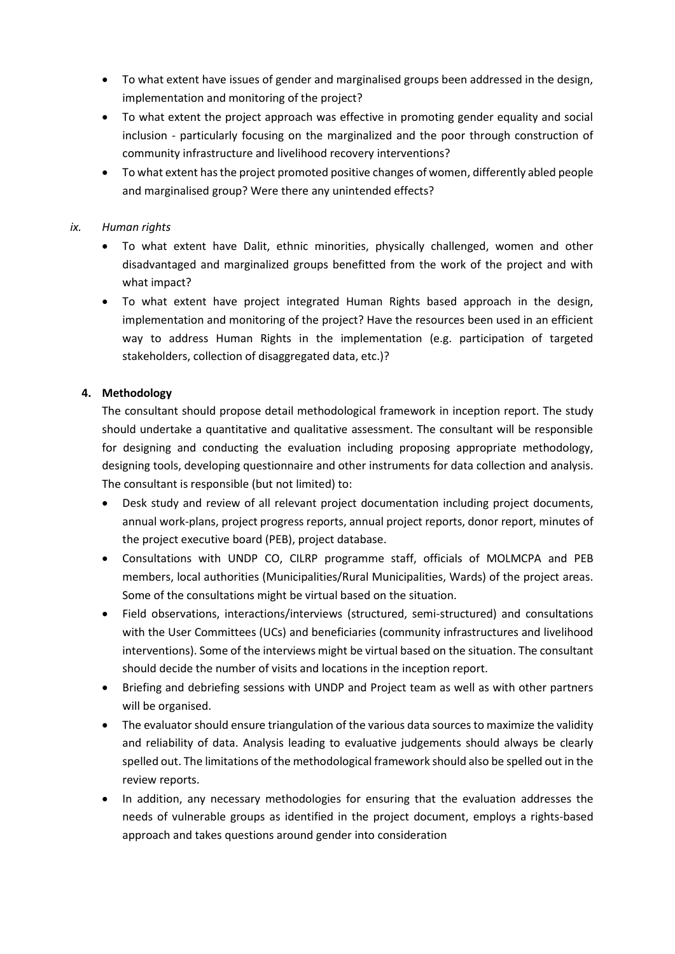- To what extent have issues of gender and marginalised groups been addressed in the design, implementation and monitoring of the project?
- To what extent the project approach was effective in promoting gender equality and social inclusion - particularly focusing on the marginalized and the poor through construction of community infrastructure and livelihood recovery interventions?
- To what extent has the project promoted positive changes of women, differently abled people and marginalised group? Were there any unintended effects?

### *ix. Human rights*

- To what extent have Dalit, ethnic minorities, physically challenged, women and other disadvantaged and marginalized groups benefitted from the work of the project and with what impact?
- To what extent have project integrated Human Rights based approach in the design, implementation and monitoring of the project? Have the resources been used in an efficient way to address Human Rights in the implementation (e.g. participation of targeted stakeholders, collection of disaggregated data, etc.)?

### **4. Methodology**

The consultant should propose detail methodological framework in inception report. The study should undertake a quantitative and qualitative assessment. The consultant will be responsible for designing and conducting the evaluation including proposing appropriate methodology, designing tools, developing questionnaire and other instruments for data collection and analysis. The consultant is responsible (but not limited) to:

- Desk study and review of all relevant project documentation including project documents, annual work-plans, project progress reports, annual project reports, donor report, minutes of the project executive board (PEB), project database.
- Consultations with UNDP CO, CILRP programme staff, officials of MOLMCPA and PEB members, local authorities (Municipalities/Rural Municipalities, Wards) of the project areas. Some of the consultations might be virtual based on the situation.
- Field observations, interactions/interviews (structured, semi-structured) and consultations with the User Committees (UCs) and beneficiaries (community infrastructures and livelihood interventions). Some of the interviews might be virtual based on the situation. The consultant should decide the number of visits and locations in the inception report.
- Briefing and debriefing sessions with UNDP and Project team as well as with other partners will be organised.
- The evaluator should ensure triangulation of the various data sources to maximize the validity and reliability of data. Analysis leading to evaluative judgements should always be clearly spelled out. The limitations of the methodological framework should also be spelled out in the review reports.
- In addition, any necessary methodologies for ensuring that the evaluation addresses the needs of vulnerable groups as identified in the project document, employs a rights-based approach and takes questions around gender into consideration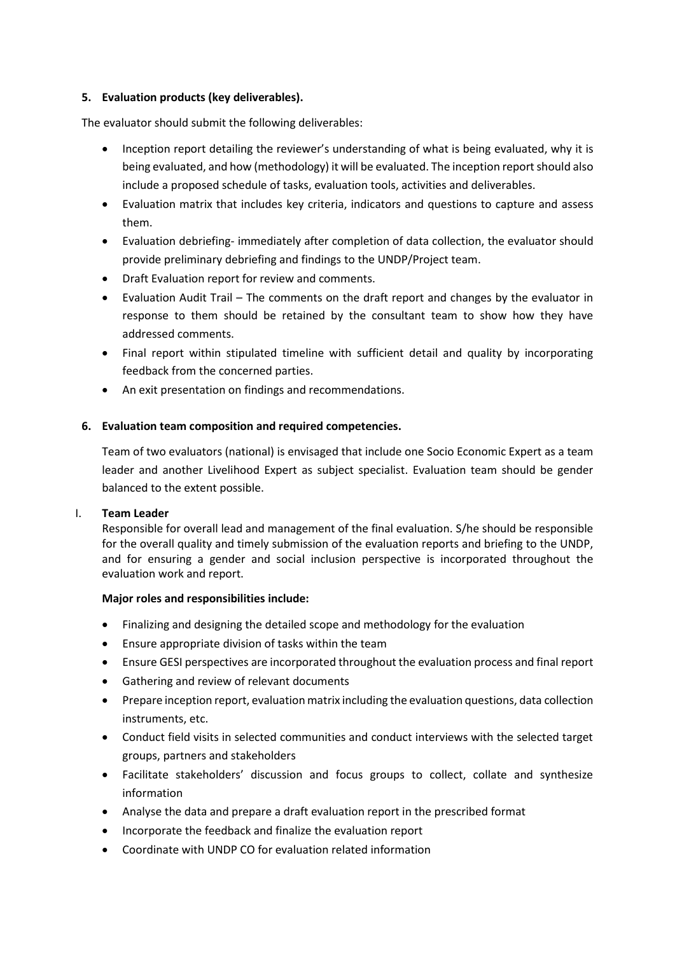### **5. Evaluation products (key deliverables).**

The evaluator should submit the following deliverables:

- Inception report detailing the reviewer's understanding of what is being evaluated, why it is being evaluated, and how (methodology) it will be evaluated. The inception report should also include a proposed schedule of tasks, evaluation tools, activities and deliverables.
- Evaluation matrix that includes key criteria, indicators and questions to capture and assess them.
- Evaluation debriefing- immediately after completion of data collection, the evaluator should provide preliminary debriefing and findings to the UNDP/Project team.
- Draft Evaluation report for review and comments.
- Evaluation Audit Trail The comments on the draft report and changes by the evaluator in response to them should be retained by the consultant team to show how they have addressed comments.
- Final report within stipulated timeline with sufficient detail and quality by incorporating feedback from the concerned parties.
- An exit presentation on findings and recommendations.

### **6. Evaluation team composition and required competencies.**

Team of two evaluators (national) is envisaged that include one Socio Economic Expert as a team leader and another Livelihood Expert as subject specialist. Evaluation team should be gender balanced to the extent possible.

#### I. **Team Leader**

Responsible for overall lead and management of the final evaluation. S/he should be responsible for the overall quality and timely submission of the evaluation reports and briefing to the UNDP, and for ensuring a gender and social inclusion perspective is incorporated throughout the evaluation work and report.

#### **Major roles and responsibilities include:**

- Finalizing and designing the detailed scope and methodology for the evaluation
- Ensure appropriate division of tasks within the team
- Ensure GESI perspectives are incorporated throughout the evaluation process and final report
- Gathering and review of relevant documents
- Prepare inception report, evaluation matrix including the evaluation questions, data collection instruments, etc.
- Conduct field visits in selected communities and conduct interviews with the selected target groups, partners and stakeholders
- Facilitate stakeholders' discussion and focus groups to collect, collate and synthesize information
- Analyse the data and prepare a draft evaluation report in the prescribed format
- Incorporate the feedback and finalize the evaluation report
- Coordinate with UNDP CO for evaluation related information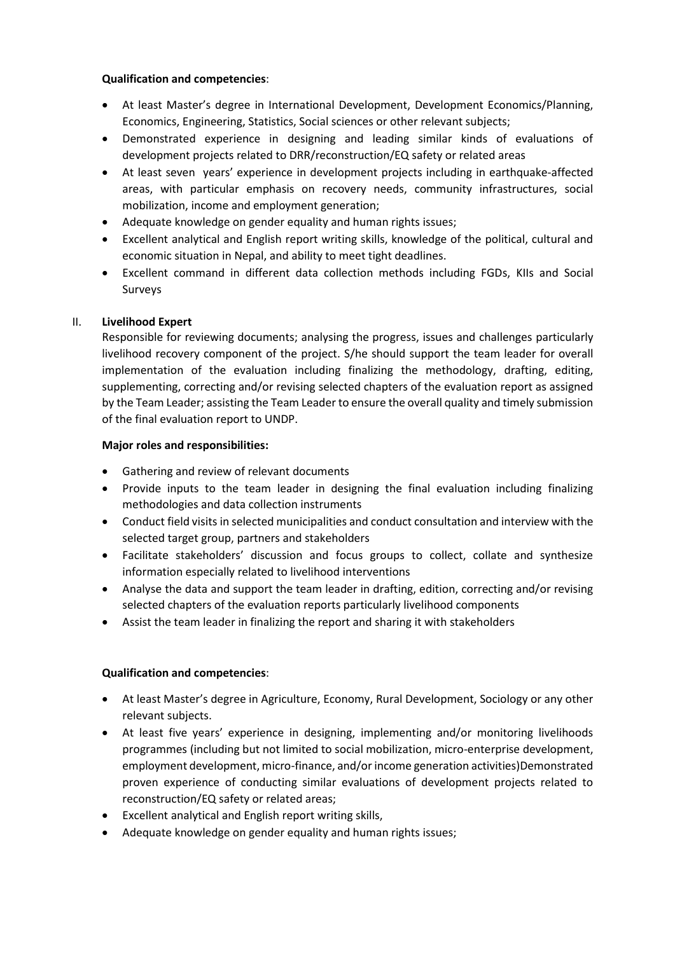### **Qualification and competencies**:

- At least Master's degree in International Development, Development Economics/Planning, Economics, Engineering, Statistics, Social sciences or other relevant subjects;
- Demonstrated experience in designing and leading similar kinds of evaluations of development projects related to DRR/reconstruction/EQ safety or related areas
- At least seven years' experience in development projects including in earthquake-affected areas, with particular emphasis on recovery needs, community infrastructures, social mobilization, income and employment generation;
- Adequate knowledge on gender equality and human rights issues;
- Excellent analytical and English report writing skills, knowledge of the political, cultural and economic situation in Nepal, and ability to meet tight deadlines.
- Excellent command in different data collection methods including FGDs, KIIs and Social Surveys

# II. **Livelihood Expert**

Responsible for reviewing documents; analysing the progress, issues and challenges particularly livelihood recovery component of the project. S/he should support the team leader for overall implementation of the evaluation including finalizing the methodology, drafting, editing, supplementing, correcting and/or revising selected chapters of the evaluation report as assigned by the Team Leader; assisting the Team Leader to ensure the overall quality and timely submission of the final evaluation report to UNDP.

# **Major roles and responsibilities:**

- Gathering and review of relevant documents
- Provide inputs to the team leader in designing the final evaluation including finalizing methodologies and data collection instruments
- Conduct field visits in selected municipalities and conduct consultation and interview with the selected target group, partners and stakeholders
- Facilitate stakeholders' discussion and focus groups to collect, collate and synthesize information especially related to livelihood interventions
- Analyse the data and support the team leader in drafting, edition, correcting and/or revising selected chapters of the evaluation reports particularly livelihood components
- Assist the team leader in finalizing the report and sharing it with stakeholders

# **Qualification and competencies**:

- At least Master's degree in Agriculture, Economy, Rural Development, Sociology or any other relevant subjects.
- At least five years' experience in designing, implementing and/or monitoring livelihoods programmes (including but not limited to social mobilization, micro-enterprise development, employment development, micro-finance, and/or income generation activities)Demonstrated proven experience of conducting similar evaluations of development projects related to reconstruction/EQ safety or related areas;
- Excellent analytical and English report writing skills,
- Adequate knowledge on gender equality and human rights issues;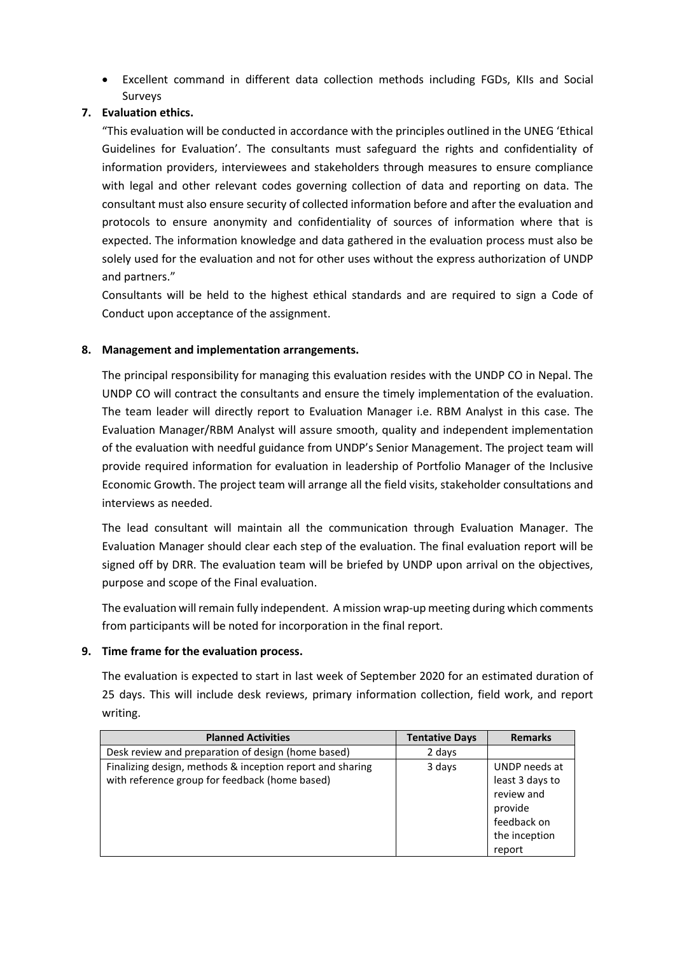• Excellent command in different data collection methods including FGDs, KIIs and Social Surveys

# **7. Evaluation ethics.**

"This evaluation will be conducted in accordance with the principles outlined in the UNEG 'Ethical Guidelines for Evaluation'. The consultants must safeguard the rights and confidentiality of information providers, interviewees and stakeholders through measures to ensure compliance with legal and other relevant codes governing collection of data and reporting on data. The consultant must also ensure security of collected information before and after the evaluation and protocols to ensure anonymity and confidentiality of sources of information where that is expected. The information knowledge and data gathered in the evaluation process must also be solely used for the evaluation and not for other uses without the express authorization of UNDP and partners."

Consultants will be held to the highest ethical standards and are required to sign a Code of Conduct upon acceptance of the assignment.

### **8. Management and implementation arrangements.**

The principal responsibility for managing this evaluation resides with the UNDP CO in Nepal. The UNDP CO will contract the consultants and ensure the timely implementation of the evaluation. The team leader will directly report to Evaluation Manager i.e. RBM Analyst in this case. The Evaluation Manager/RBM Analyst will assure smooth, quality and independent implementation of the evaluation with needful guidance from UNDP's Senior Management. The project team will provide required information for evaluation in leadership of Portfolio Manager of the Inclusive Economic Growth. The project team will arrange all the field visits, stakeholder consultations and interviews as needed.

The lead consultant will maintain all the communication through Evaluation Manager. The Evaluation Manager should clear each step of the evaluation. The final evaluation report will be signed off by DRR. The evaluation team will be briefed by UNDP upon arrival on the objectives, purpose and scope of the Final evaluation.

The evaluation will remain fully independent. A mission wrap-up meeting during which comments from participants will be noted for incorporation in the final report.

#### **9. Time frame for the evaluation process.**

The evaluation is expected to start in last week of September 2020 for an estimated duration of 25 days. This will include desk reviews, primary information collection, field work, and report writing.

| <b>Planned Activities</b>                                 | <b>Tentative Days</b> | <b>Remarks</b>  |
|-----------------------------------------------------------|-----------------------|-----------------|
| Desk review and preparation of design (home based)        | 2 days                |                 |
| Finalizing design, methods & inception report and sharing | 3 days                | UNDP needs at   |
| with reference group for feedback (home based)            |                       | least 3 days to |
|                                                           |                       | review and      |
|                                                           |                       | provide         |
|                                                           |                       | feedback on     |
|                                                           |                       | the inception   |
|                                                           |                       | report          |